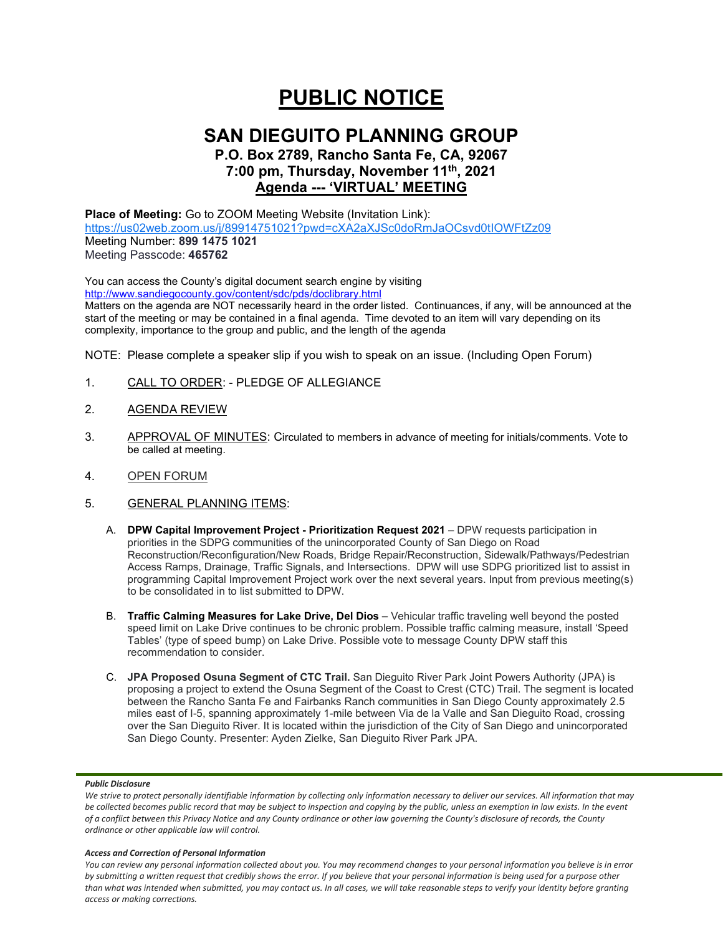# **PUBLIC NOTICE**

## **SAN DIEGUITO PLANNING GROUP**

## **P.O. Box 2789, Rancho Santa Fe, CA, 92067 7:00 pm, Thursday, November 11th, 2021 Agenda --- 'VIRTUAL' MEETING**

**Place of Meeting:** Go to ZOOM Meeting Website (Invitation Link): <https://us02web.zoom.us/j/89914751021?pwd=cXA2aXJSc0doRmJaOCsvd0tIOWFtZz09> Meeting Number: **899 1475 1021** Meeting Passcode: **465762**

You can access the County's digital document search engine by visiting <http://www.sandiegocounty.gov/content/sdc/pds/doclibrary.html>

Matters on the agenda are NOT necessarily heard in the order listed. Continuances, if any, will be announced at the start of the meeting or may be contained in a final agenda. Time devoted to an item will vary depending on its complexity, importance to the group and public, and the length of the agenda

NOTE: Please complete a speaker slip if you wish to speak on an issue. (Including Open Forum)

- 1. CALL TO ORDER: PLEDGE OF ALLEGIANCE
- 2. AGENDA REVIEW
- 3. APPROVAL OF MINUTES: Circulated to members in advance of meeting for initials/comments. Vote to be called at meeting.
- 4. OPEN FORUM
- 5. GENERAL PLANNING ITEMS:
	- A. **DPW Capital Improvement Project - Prioritization Request 2021** DPW requests participation in priorities in the SDPG communities of the unincorporated County of San Diego on Road Reconstruction/Reconfiguration/New Roads, Bridge Repair/Reconstruction, Sidewalk/Pathways/Pedestrian Access Ramps, Drainage, Traffic Signals, and Intersections. DPW will use SDPG prioritized list to assist in programming Capital Improvement Project work over the next several years. Input from previous meeting(s) to be consolidated in to list submitted to DPW.
	- B. **Traffic Calming Measures for Lake Drive, Del Dios** Vehicular traffic traveling well beyond the posted speed limit on Lake Drive continues to be chronic problem. Possible traffic calming measure, install 'Speed Tables' (type of speed bump) on Lake Drive. Possible vote to message County DPW staff this recommendation to consider.
	- C. **JPA Proposed Osuna Segment of CTC Trail.** San Dieguito River Park Joint Powers Authority (JPA) is proposing a project to extend the Osuna Segment of the Coast to Crest (CTC) Trail. The segment is located between the Rancho Santa Fe and Fairbanks Ranch communities in San Diego County approximately 2.5 miles east of I-5, spanning approximately 1-mile between Via de la Valle and San Dieguito Road, crossing over the San Dieguito River. It is located within the jurisdiction of the City of San Diego and unincorporated San Diego County. Presenter: Ayden Zielke, San Dieguito River Park JPA.

#### *Public Disclosure*

#### *Access and Correction of Personal Information*

We strive to protect personally identifiable information by collecting only information necessary to deliver our services. All information that may *be collected becomes public record that may be subject to inspection and copying by the public, unless an exemption in law exists. In the event of a conflict between this Privacy Notice and any County ordinance or other law governing the County's disclosure of records, the County ordinance or other applicable law will control.*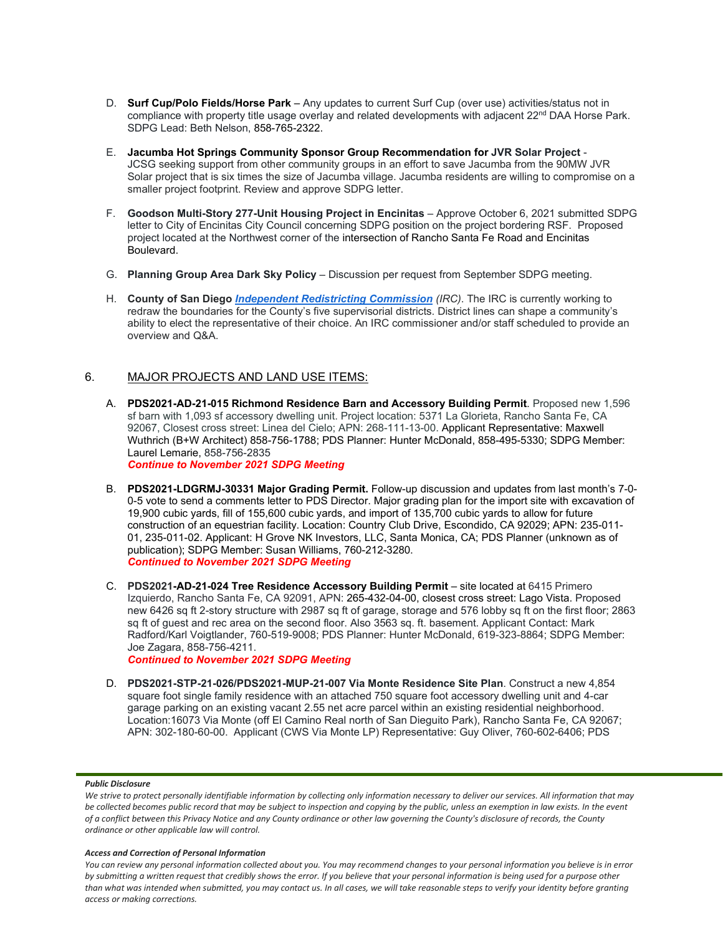- D. **Surf Cup/Polo Fields/Horse Park** Any updates to current Surf Cup (over use) activities/status not in compliance with property title usage overlay and related developments with adjacent 22<sup>nd</sup> DAA Horse Park. SDPG Lead: Beth Nelson, 858-765-2322.
- E. **Jacumba Hot Springs Community Sponsor Group Recommendation for JVR Solar Project** JCSG seeking support from other community groups in an effort to save Jacumba from the 90MW JVR Solar project that is six times the size of Jacumba village. Jacumba residents are willing to compromise on a smaller project footprint. Review and approve SDPG letter.
- F. **Goodson Multi-Story 277-Unit Housing Project in Encinitas** Approve October 6, 2021 submitted SDPG letter to City of Encinitas City Council concerning SDPG position on the project bordering RSF. Proposed project located at the Northwest corner of the intersection of Rancho Santa Fe Road and Encinitas Boulevard.
- G. **Planning Group Area Dark Sky Policy**  Discussion per request from September SDPG meeting.
- H. **County of San Diego** *[Independent Redistricting Commission](https://www.sandiegocounty.gov/redistricting/) (IRC)*. The IRC is currently working to redraw the boundaries for the County's five supervisorial districts. District lines can shape a community's ability to elect the representative of their choice. An IRC commissioner and/or staff scheduled to provide an overview and Q&A.

### 6. MAJOR PROJECTS AND LAND USE ITEMS:

A. **PDS2021-AD-21-015 Richmond Residence Barn and Accessory Building Permit**. Proposed new 1,596 sf barn with 1,093 sf accessory dwelling unit. Project location: 5371 La Glorieta, Rancho Santa Fe, CA 92067, Closest cross street: Linea del Cielo; APN: 268-111-13-00. Applicant Representative: Maxwell Wuthrich (B+W Architect) 858-756-1788; PDS Planner: Hunter McDonald, 858-495-5330; SDPG Member: Laurel Lemarie, 858-756-2835

*Continue to November 2021 SDPG Meeting*

- B. **PDS2021-LDGRMJ-30331 Major Grading Permit.** Follow-up discussion and updates from last month's 7-0- 0-5 vote to send a comments letter to PDS Director. Major grading plan for the import site with excavation of 19,900 cubic yards, fill of 155,600 cubic yards, and import of 135,700 cubic yards to allow for future construction of an equestrian facility. Location: Country Club Drive, Escondido, CA 92029; APN: 235-011- 01, 235-011-02. Applicant: H Grove NK Investors, LLC, Santa Monica, CA; PDS Planner (unknown as of publication); SDPG Member: Susan Williams, 760-212-3280. *Continued to November 2021 SDPG Meeting*
- C. **PDS2021-AD-21-024 Tree Residence Accessory Building Permit** site located at 6415 Primero Izquierdo, Rancho Santa Fe, CA 92091, APN: 265-432-04-00, closest cross street: Lago Vista. Proposed new 6426 sq ft 2-story structure with 2987 sq ft of garage, storage and 576 lobby sq ft on the first floor; 2863 sq ft of guest and rec area on the second floor. Also 3563 sq. ft. basement. Applicant Contact: Mark Radford/Karl Voigtlander, 760-519-9008; PDS Planner: Hunter McDonald, 619-323-8864; SDPG Member: Joe Zagara, 858-756-4211.

*Continued to November 2021 SDPG Meeting*

D. **PDS2021-STP-21-026/PDS2021-MUP-21-007 Via Monte Residence Site Plan**. Construct a new 4,854 square foot single family residence with an attached 750 square foot accessory dwelling unit and 4-car garage parking on an existing vacant 2.55 net acre parcel within an existing residential neighborhood. Location:16073 Via Monte (off El Camino Real north of San Dieguito Park), Rancho Santa Fe, CA 92067; APN: 302-180-60-00. Applicant (CWS Via Monte LP) Representative: Guy Oliver, 760-602-6406; PDS

#### *Public Disclosure*

#### *Access and Correction of Personal Information*

We strive to protect personally identifiable information by collecting only information necessary to deliver our services. All information that may *be collected becomes public record that may be subject to inspection and copying by the public, unless an exemption in law exists. In the event of a conflict between this Privacy Notice and any County ordinance or other law governing the County's disclosure of records, the County ordinance or other applicable law will control.*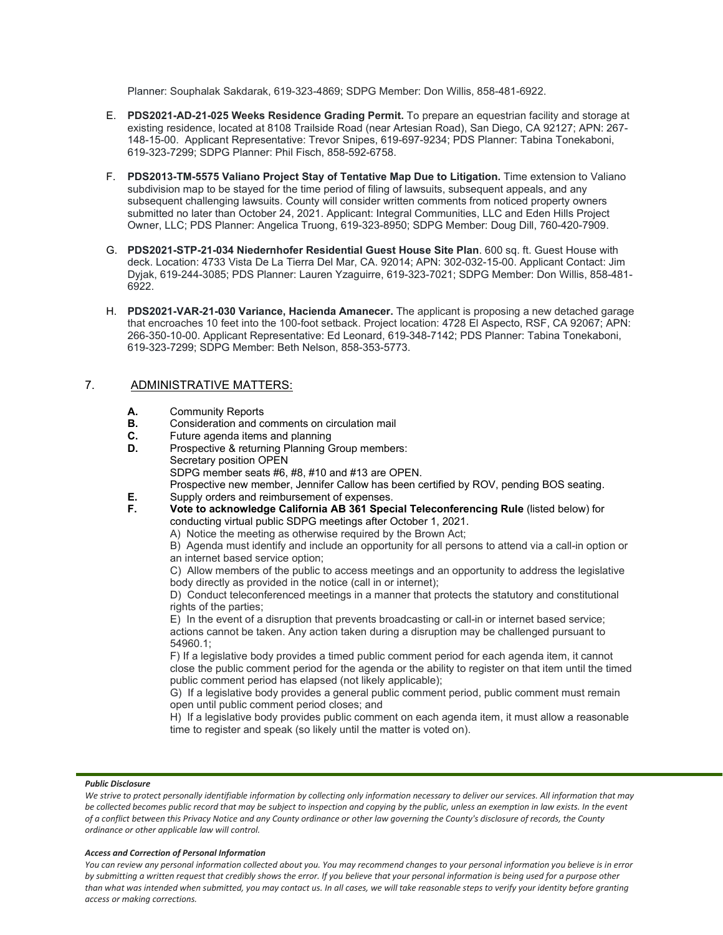Planner: Souphalak Sakdarak, 619-323-4869; SDPG Member: Don Willis, 858-481-6922.

- E. **PDS2021-AD-21-025 Weeks Residence Grading Permit.** To prepare an equestrian facility and storage at existing residence, located at 8108 Trailside Road (near Artesian Road), San Diego, CA 92127; APN: 267- 148-15-00. Applicant Representative: Trevor Snipes, 619-697-9234; PDS Planner: Tabina Tonekaboni, 619-323-7299; SDPG Planner: Phil Fisch, 858-592-6758.
- F. **PDS2013-TM-5575 Valiano Project Stay of Tentative Map Due to Litigation.** Time extension to Valiano subdivision map to be stayed for the time period of filing of lawsuits, subsequent appeals, and any subsequent challenging lawsuits. County will consider written comments from noticed property owners submitted no later than October 24, 2021. Applicant: Integral Communities, LLC and Eden Hills Project Owner, LLC; PDS Planner: Angelica Truong, 619-323-8950; SDPG Member: Doug Dill, 760-420-7909.
- G. **PDS2021-STP-21-034 Niedernhofer Residential Guest House Site Plan**. 600 sq. ft. Guest House with deck. Location: 4733 Vista De La Tierra Del Mar, CA. 92014; APN: 302-032-15-00. Applicant Contact: Jim Dyjak, 619-244-3085; PDS Planner: Lauren Yzaguirre, 619-323-7021; SDPG Member: Don Willis, 858-481- 6922.
- H. **PDS2021-VAR-21-030 Variance, Hacienda Amanecer.** The applicant is proposing a new detached garage that encroaches 10 feet into the 100-foot setback. Project location: 4728 El Aspecto, RSF, CA 92067; APN: 266-350-10-00. Applicant Representative: Ed Leonard, 619-348-7142; PDS Planner: Tabina Tonekaboni, 619-323-7299; SDPG Member: Beth Nelson, 858-353-5773.

## 7. ADMINISTRATIVE MATTERS:

- **A.** Community Reports<br>**B.** Consideration and com-
- **B.** Consideration and comments on circulation mail **C.** Future agenda items and planning
- **C.** Future agenda items and planning<br>**D.** Prospective & returning Planning G.
- Prospective & returning Planning Group members: Secretary position OPEN SDPG member seats #6, #8, #10 and #13 are OPEN. Prospective new member, Jennifer Callow has been certified by ROV, pending BOS seating.
- **E.** Supply orders and reimbursement of expenses.<br>**E.** Vote to acknowledge California AB 361 Spec
- **F. Vote to acknowledge California AB 361 Special Teleconferencing Rule** (listed below) for conducting virtual public SDPG meetings after October 1, 2021.
	- A) Notice the meeting as otherwise required by the Brown Act;

B) Agenda must identify and include an opportunity for all persons to attend via a call-in option or an internet based service option;

C) Allow members of the public to access meetings and an opportunity to address the legislative body directly as provided in the notice (call in or internet);

D) Conduct teleconferenced meetings in a manner that protects the statutory and constitutional rights of the parties:

E) In the event of a disruption that prevents broadcasting or call-in or internet based service; actions cannot be taken. Any action taken during a disruption may be challenged pursuant to 54960.1;

F) If a legislative body provides a timed public comment period for each agenda item, it cannot close the public comment period for the agenda or the ability to register on that item until the timed public comment period has elapsed (not likely applicable);

G) If a legislative body provides a general public comment period, public comment must remain open until public comment period closes; and

H) If a legislative body provides public comment on each agenda item, it must allow a reasonable time to register and speak (so likely until the matter is voted on).

#### *Public Disclosure*

We strive to protect personally identifiable information by collecting only information necessary to deliver our services. All information that may *be collected becomes public record that may be subject to inspection and copying by the public, unless an exemption in law exists. In the event of a conflict between this Privacy Notice and any County ordinance or other law governing the County's disclosure of records, the County ordinance or other applicable law will control.*

#### *Access and Correction of Personal Information*